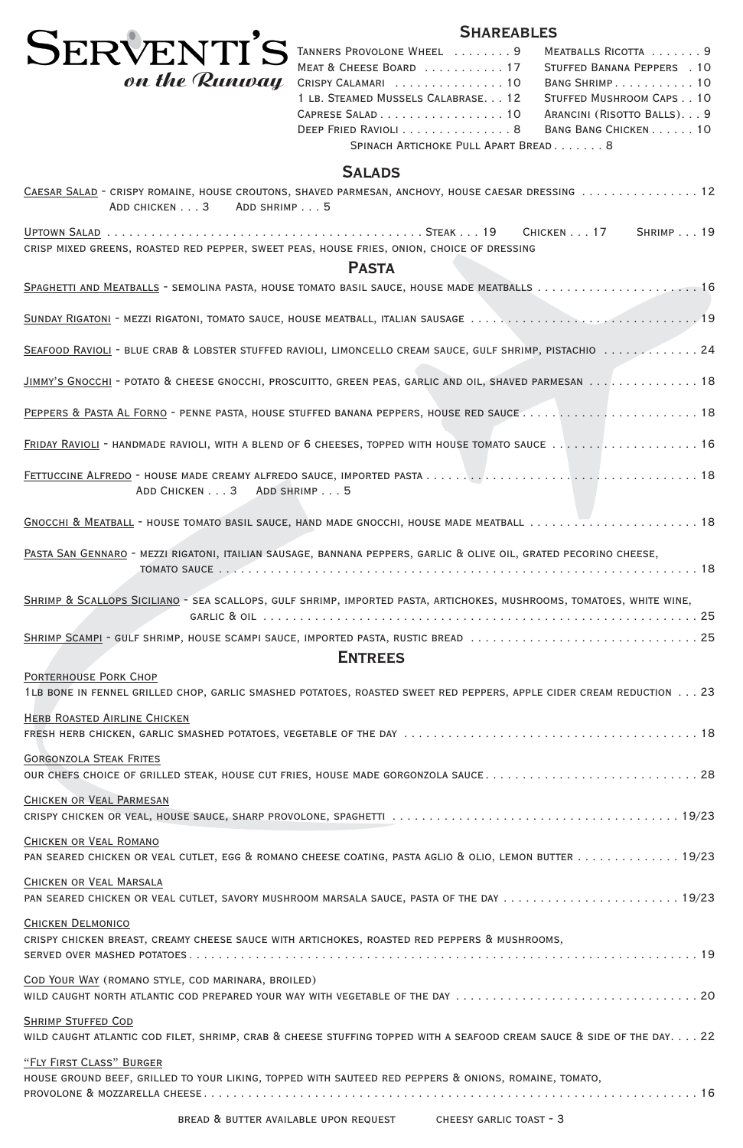

# **SHAREABLES**

### **Salads**

| CAESAR SALAD - CRISPY ROMAINE, HOUSE CROUTONS, SHAVED PARMESAN, ANCHOVY, HOUSE CAESAR DRESSING 12<br>ADD CHICKEN 3 ADD SHRIMP 5                     |
|-----------------------------------------------------------------------------------------------------------------------------------------------------|
| CRISP MIXED GREENS, ROASTED RED PEPPER, SWEET PEAS, HOUSE FRIES, ONION, CHOICE OF DRESSING                                                          |
| <b>PASTA</b>                                                                                                                                        |
|                                                                                                                                                     |
|                                                                                                                                                     |
| SEAFOOD RAVIOLI - BLUE CRAB & LOBSTER STUFFED RAVIOLI, LIMONCELLO CREAM SAUCE, GULF SHRIMP, PISTACHIO  24                                           |
| JIMMY'S GNOCCHI - POTATO & CHEESE GNOCCHI, PROSCUITTO, GREEN PEAS, GARLIC AND OIL, SHAVED PARMESAN 18                                               |
| PEPPERS & PASTA AL FORNO - PENNE PASTA, HOUSE STUFFED BANANA PEPPERS, HOUSE RED SAUCE  18                                                           |
| FRIDAY RAVIOLI - HANDMADE RAVIOLI, WITH A BLEND OF 6 CHEESES, TOPPED WITH HOUSE TOMATO SAUCE  16                                                    |
| ADD CHICKEN 3 ADD SHRIMP 5                                                                                                                          |
|                                                                                                                                                     |
| PASTA SAN GENNARO - MEZZI RIGATONI, ITAILIAN SAUSAGE, BANNANA PEPPERS, GARLIC & OLIVE OIL, GRATED PECORINO CHEESE,                                  |
| SHRIMP & SCALLOPS SICILIANO - SEA SCALLOPS, GULF SHRIMP, IMPORTED PASTA, ARTICHOKES, MUSHROOMS, TOMATOES, WHITE WINE,                               |
| SHRIMP SCAMPI - GULF SHRIMP, HOUSE SCAMPI SAUCE, IMPORTED PASTA, RUSTIC BREAD 25                                                                    |
| <b>ENTREES</b>                                                                                                                                      |
| <b>PORTERHOUSE PORK CHOP</b><br>1LB BONE IN FENNEL GRILLED CHOP, GARLIC SMASHED POTATOES, ROASTED SWEET RED PEPPERS, APPLE CIDER CREAM REDUCTION 23 |
| <b>HERB ROASTED AIRLINE CHICKEN</b>                                                                                                                 |
| <b>GORGONZOLA STEAK FRITES</b><br>OUR CHEFS CHOICE OF GRILLED STEAK, HOUSE CUT FRIES, HOUSE MADE GORGONZOLA SAUCE28                                 |
| CHICKEN OR VEAL PARMESAN                                                                                                                            |
| <b>CHICKEN OR VEAL ROMANO</b>                                                                                                                       |

| PAN SEARED CHICKEN OR VEAL CUTLET, EGG & ROMANO CHEESE COATING, PASTA AGLIO & OLIO, LEMON BUTTER 19/23                 |
|------------------------------------------------------------------------------------------------------------------------|
| CHICKEN OR VEAL MARSALA                                                                                                |
| PAN SEARED CHICKEN OR VEAL CUTLET, SAVORY MUSHROOM MARSALA SAUCE, PASTA OF THE DAY 19/23                               |
| <b>CHICKEN DELMONICO</b>                                                                                               |
| CRISPY CHICKEN BREAST, CREAMY CHEESE SAUCE WITH ARTICHOKES, ROASTED RED PEPPERS & MUSHROOMS,                           |
|                                                                                                                        |
| COD YOUR WAY (ROMANO STYLE, COD MARINARA, BROILED)                                                                     |
| WILD CAUGHT NORTH ATLANTIC COD PREPARED YOUR WAY WITH VEGETABLE OF THE DAY 20                                          |
| <b>SHRIMP STUFFED COD</b>                                                                                              |
| WILD CAUGHT ATLANTIC COD FILET, SHRIMP, CRAB & CHEESE STUFFING TOPPED WITH A SEAFOOD CREAM SAUCE & SIDE OF THE DAY. 22 |
| "FLY FIRST CLASS" BURGER                                                                                               |
| HOUSE GROUND BEEF, GRILLED TO YOUR LIKING, TOPPED WITH SAUTEED RED PEPPERS & ONIONS, ROMAINE, TOMATO,                  |
|                                                                                                                        |

bread & butter available upon request cheesy garlic toast - 3

| TANNERS PROVOLONE WHEEL  9           | MEATBALLS RICOTTA  9        |  |  |  |
|--------------------------------------|-----------------------------|--|--|--|
| MEAT & CHEESE BOARD 17               | STUFFED BANANA PEPPERS . 10 |  |  |  |
| $\ell$ Crispy Calamari 10            | BANG SHRIMP. 10             |  |  |  |
| 1 LB. STEAMED MUSSELS CALABRASE. 12  | STUFFED MUSHROOM CAPS 10    |  |  |  |
| CAPRESE SALAD 10                     | ARANCINI (RISOTTO BALLS) 9  |  |  |  |
| DEEP FRIED RAVIOLI 8                 | BANG BANG CHICKEN 10        |  |  |  |
| SPINACH ARTICHOKE PULL APART BREAD 8 |                             |  |  |  |
|                                      |                             |  |  |  |